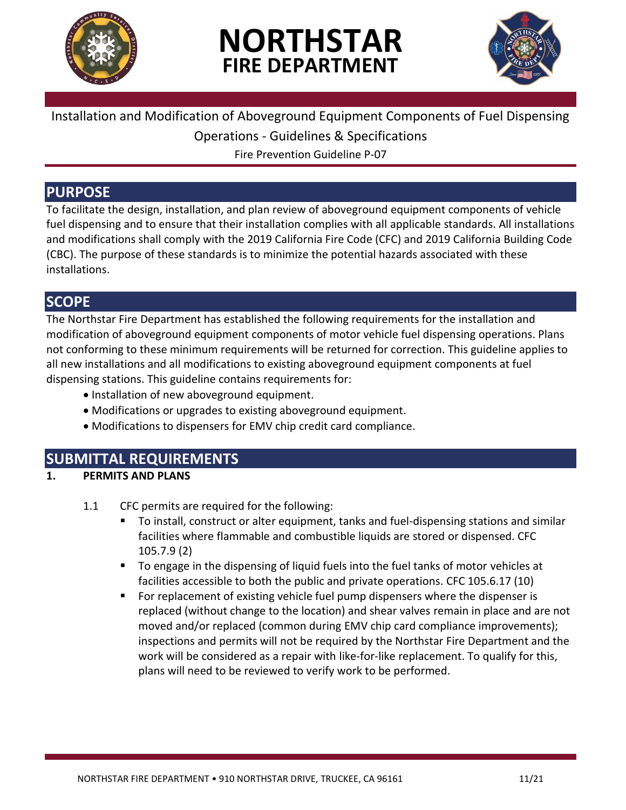

# **NORTHSTAR FIRE DEPARTMENT**



#### Installation and Modification of Aboveground Equipment Components of Fuel Dispensing

Operations - Guidelines & Specifications

Fire Prevention Guideline P-07

### **PURPOSE**

To facilitate the design, installation, and plan review of aboveground equipment components of vehicle fuel dispensing and to ensure that their installation complies with all applicable standards. All installations and modifications shall comply with the 2019 California Fire Code (CFC) and 2019 California Building Code (CBC). The purpose of these standards is to minimize the potential hazards associated with these installations.

## **SCOPE**

The Northstar Fire Department has established the following requirements for the installation and modification of aboveground equipment components of motor vehicle fuel dispensing operations. Plans not conforming to these minimum requirements will be returned for correction. This guideline applies to all new installations and all modifications to existing aboveground equipment components at fuel dispensing stations. This guideline contains requirements for:

- Installation of new aboveground equipment.
- Modifications or upgrades to existing aboveground equipment.
- Modifications to dispensers for EMV chip credit card compliance.

## **SUBMITTAL REQUIREMENTS**

#### **1. PERMITS AND PLANS**

- 1.1 CFC permits are required for the following:
	- To install, construct or alter equipment, tanks and fuel-dispensing stations and similar facilities where flammable and combustible liquids are stored or dispensed. CFC 105.7.9 (2)
	- To engage in the dispensing of liquid fuels into the fuel tanks of motor vehicles at facilities accessible to both the public and private operations. CFC 105.6.17 (10)
	- For replacement of existing vehicle fuel pump dispensers where the dispenser is replaced (without change to the location) and shear valves remain in place and are not moved and/or replaced (common during EMV chip card compliance improvements); inspections and permits will not be required by the Northstar Fire Department and the work will be considered as a repair with like-for-like replacement. To qualify for this, plans will need to be reviewed to verify work to be performed.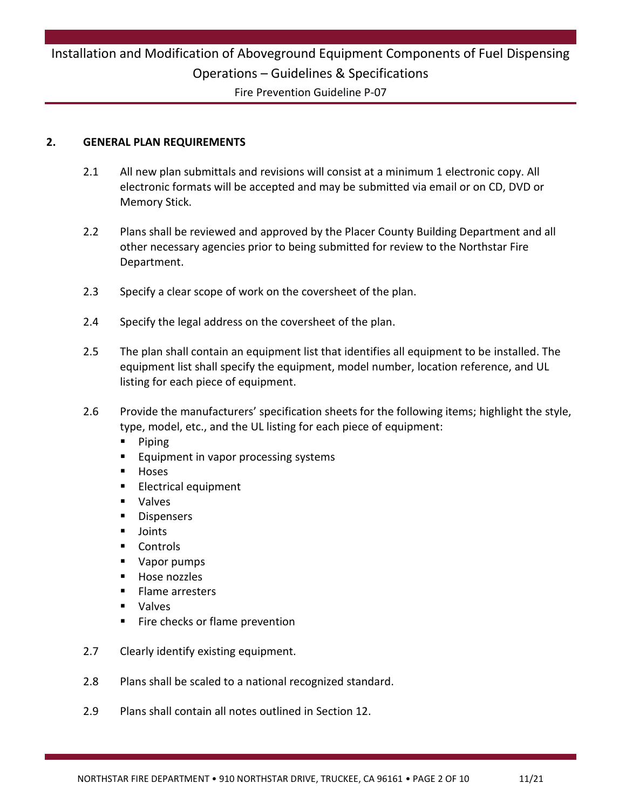## Installation and Modification of Aboveground Equipment Components of Fuel Dispensing Operations – Guidelines & Specifications Fire Prevention Guideline P-07

#### **2. GENERAL PLAN REQUIREMENTS**

- 2.1 All new plan submittals and revisions will consist at a minimum 1 electronic copy. All electronic formats will be accepted and may be submitted via email or on CD, DVD or Memory Stick.
- 2.2 Plans shall be reviewed and approved by the Placer County Building Department and all other necessary agencies prior to being submitted for review to the Northstar Fire Department.
- 2.3 Specify a clear scope of work on the coversheet of the plan.
- 2.4 Specify the legal address on the coversheet of the plan.
- 2.5 The plan shall contain an equipment list that identifies all equipment to be installed. The equipment list shall specify the equipment, model number, location reference, and UL listing for each piece of equipment.
- 2.6 Provide the manufacturers' specification sheets for the following items; highlight the style, type, model, etc., and the UL listing for each piece of equipment:
	- **Piping**
	- Equipment in vapor processing systems
	- Hoses
	- Electrical equipment
	- Valves
	- Dispensers
	- Joints
	- Controls
	- Vapor pumps
	- Hose nozzles
	- Flame arresters
	- Valves
	- Fire checks or flame prevention
- 2.7 Clearly identify existing equipment.
- 2.8 Plans shall be scaled to a national recognized standard.
- 2.9 Plans shall contain all notes outlined in Section 12.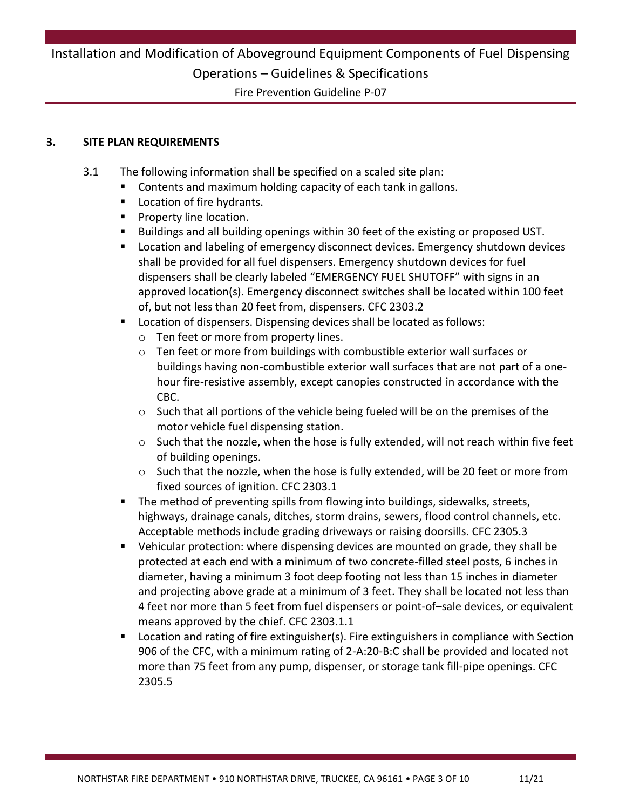Fire Prevention Guideline P-07

#### **3. SITE PLAN REQUIREMENTS**

- 3.1 The following information shall be specified on a scaled site plan:
	- Contents and maximum holding capacity of each tank in gallons.
	- **Location of fire hydrants.**
	- **Property line location.**
	- Buildings and all building openings within 30 feet of the existing or proposed UST.
	- Location and labeling of emergency disconnect devices. Emergency shutdown devices shall be provided for all fuel dispensers. Emergency shutdown devices for fuel dispensers shall be clearly labeled "EMERGENCY FUEL SHUTOFF" with signs in an approved location(s). Emergency disconnect switches shall be located within 100 feet of, but not less than 20 feet from, dispensers. CFC 2303.2
	- Location of dispensers. Dispensing devices shall be located as follows:
		- o Ten feet or more from property lines.
		- $\circ$  Ten feet or more from buildings with combustible exterior wall surfaces or buildings having non-combustible exterior wall surfaces that are not part of a onehour fire-resistive assembly, except canopies constructed in accordance with the CBC.
		- $\circ$  Such that all portions of the vehicle being fueled will be on the premises of the motor vehicle fuel dispensing station.
		- $\circ$  Such that the nozzle, when the hose is fully extended, will not reach within five feet of building openings.
		- o Such that the nozzle, when the hose is fully extended, will be 20 feet or more from fixed sources of ignition. CFC 2303.1
	- The method of preventing spills from flowing into buildings, sidewalks, streets, highways, drainage canals, ditches, storm drains, sewers, flood control channels, etc. Acceptable methods include grading driveways or raising doorsills. CFC 2305.3
	- Vehicular protection: where dispensing devices are mounted on grade, they shall be protected at each end with a minimum of two concrete-filled steel posts, 6 inches in diameter, having a minimum 3 foot deep footing not less than 15 inches in diameter and projecting above grade at a minimum of 3 feet. They shall be located not less than 4 feet nor more than 5 feet from fuel dispensers or point-of–sale devices, or equivalent means approved by the chief. CFC 2303.1.1
	- Location and rating of fire extinguisher(s). Fire extinguishers in compliance with Section 906 of the CFC, with a minimum rating of 2-A:20-B:C shall be provided and located not more than 75 feet from any pump, dispenser, or storage tank fill-pipe openings. CFC 2305.5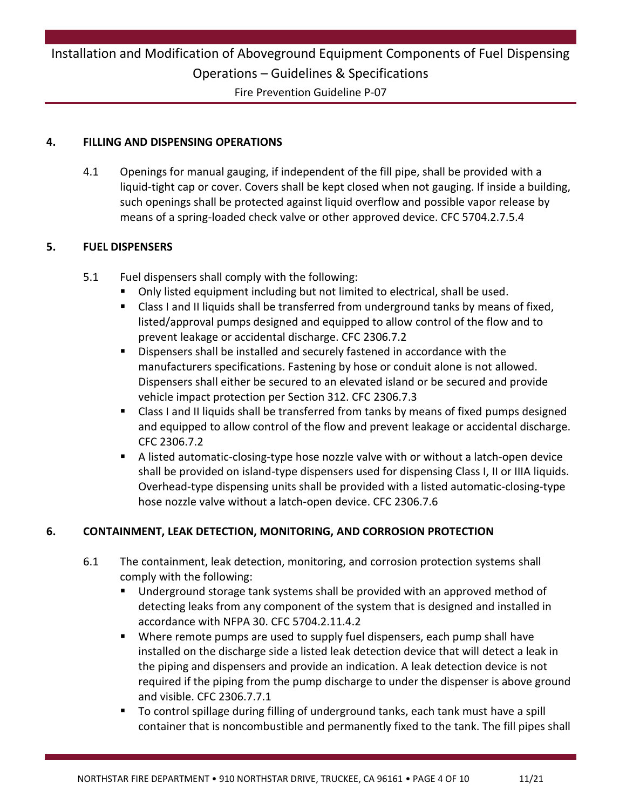Fire Prevention Guideline P-07

#### **4. FILLING AND DISPENSING OPERATIONS**

4.1 Openings for manual gauging, if independent of the fill pipe, shall be provided with a liquid-tight cap or cover. Covers shall be kept closed when not gauging. If inside a building, such openings shall be protected against liquid overflow and possible vapor release by means of a spring-loaded check valve or other approved device. CFC 5704.2.7.5.4

#### **5. FUEL DISPENSERS**

- 5.1 Fuel dispensers shall comply with the following:
	- Only listed equipment including but not limited to electrical, shall be used.
	- Class I and II liquids shall be transferred from underground tanks by means of fixed, listed/approval pumps designed and equipped to allow control of the flow and to prevent leakage or accidental discharge. CFC 2306.7.2
	- Dispensers shall be installed and securely fastened in accordance with the manufacturers specifications. Fastening by hose or conduit alone is not allowed. Dispensers shall either be secured to an elevated island or be secured and provide vehicle impact protection per Section 312. CFC 2306.7.3
	- Class I and II liquids shall be transferred from tanks by means of fixed pumps designed and equipped to allow control of the flow and prevent leakage or accidental discharge. CFC 2306.7.2
	- A listed automatic-closing-type hose nozzle valve with or without a latch-open device shall be provided on island-type dispensers used for dispensing Class I, II or IIIA liquids. Overhead-type dispensing units shall be provided with a listed automatic-closing-type hose nozzle valve without a latch-open device. CFC 2306.7.6

#### **6. CONTAINMENT, LEAK DETECTION, MONITORING, AND CORROSION PROTECTION**

- 6.1 The containment, leak detection, monitoring, and corrosion protection systems shall comply with the following:
	- Underground storage tank systems shall be provided with an approved method of detecting leaks from any component of the system that is designed and installed in accordance with NFPA 30. CFC 5704.2.11.4.2
	- Where remote pumps are used to supply fuel dispensers, each pump shall have installed on the discharge side a listed leak detection device that will detect a leak in the piping and dispensers and provide an indication. A leak detection device is not required if the piping from the pump discharge to under the dispenser is above ground and visible. CFC 2306.7.7.1
	- To control spillage during filling of underground tanks, each tank must have a spill container that is noncombustible and permanently fixed to the tank. The fill pipes shall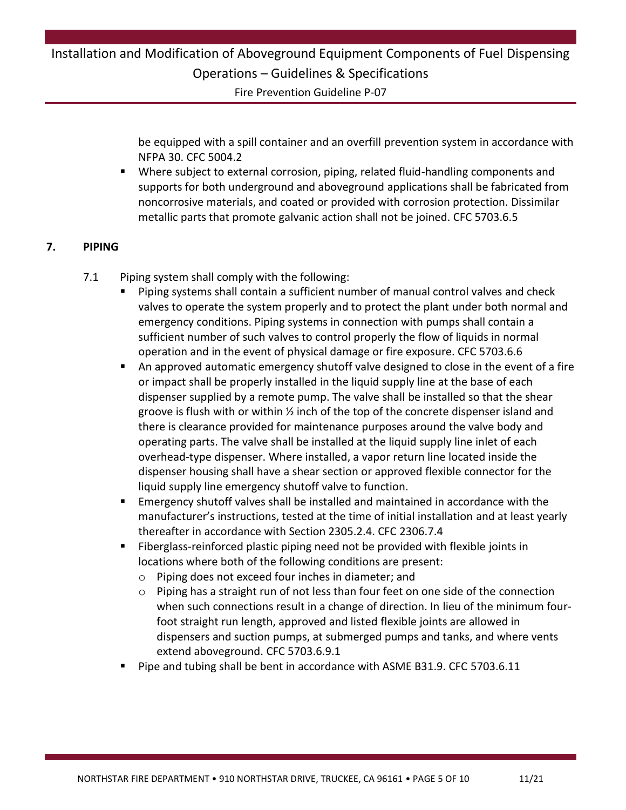Fire Prevention Guideline P-07

be equipped with a spill container and an overfill prevention system in accordance with NFPA 30. CFC 5004.2

 Where subject to external corrosion, piping, related fluid-handling components and supports for both underground and aboveground applications shall be fabricated from noncorrosive materials, and coated or provided with corrosion protection. Dissimilar metallic parts that promote galvanic action shall not be joined. CFC 5703.6.5

#### **7. PIPING**

- 7.1 Piping system shall comply with the following:
	- Piping systems shall contain a sufficient number of manual control valves and check valves to operate the system properly and to protect the plant under both normal and emergency conditions. Piping systems in connection with pumps shall contain a sufficient number of such valves to control properly the flow of liquids in normal operation and in the event of physical damage or fire exposure. CFC 5703.6.6
	- An approved automatic emergency shutoff valve designed to close in the event of a fire or impact shall be properly installed in the liquid supply line at the base of each dispenser supplied by a remote pump. The valve shall be installed so that the shear groove is flush with or within ½ inch of the top of the concrete dispenser island and there is clearance provided for maintenance purposes around the valve body and operating parts. The valve shall be installed at the liquid supply line inlet of each overhead-type dispenser. Where installed, a vapor return line located inside the dispenser housing shall have a shear section or approved flexible connector for the liquid supply line emergency shutoff valve to function.
	- Emergency shutoff valves shall be installed and maintained in accordance with the manufacturer's instructions, tested at the time of initial installation and at least yearly thereafter in accordance with Section 2305.2.4. CFC 2306.7.4
	- Fiberglass-reinforced plastic piping need not be provided with flexible joints in locations where both of the following conditions are present:
		- o Piping does not exceed four inches in diameter; and
		- $\circ$  Piping has a straight run of not less than four feet on one side of the connection when such connections result in a change of direction. In lieu of the minimum fourfoot straight run length, approved and listed flexible joints are allowed in dispensers and suction pumps, at submerged pumps and tanks, and where vents extend aboveground. CFC 5703.6.9.1
	- Pipe and tubing shall be bent in accordance with ASME B31.9. CFC 5703.6.11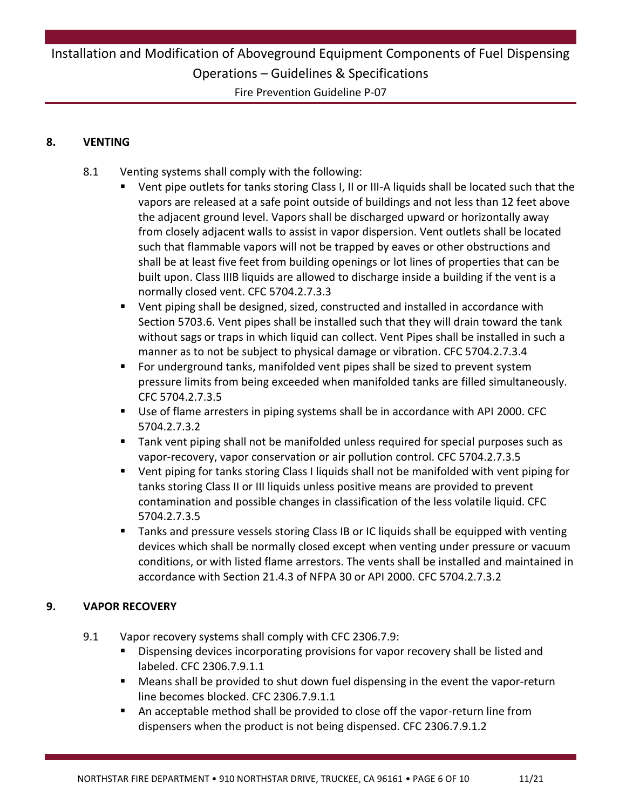Fire Prevention Guideline P-07

#### **8. VENTING**

- 8.1 Venting systems shall comply with the following:
	- Vent pipe outlets for tanks storing Class I, II or III-A liquids shall be located such that the vapors are released at a safe point outside of buildings and not less than 12 feet above the adjacent ground level. Vapors shall be discharged upward or horizontally away from closely adjacent walls to assist in vapor dispersion. Vent outlets shall be located such that flammable vapors will not be trapped by eaves or other obstructions and shall be at least five feet from building openings or lot lines of properties that can be built upon. Class IIIB liquids are allowed to discharge inside a building if the vent is a normally closed vent. CFC 5704.2.7.3.3
	- Vent piping shall be designed, sized, constructed and installed in accordance with Section 5703.6. Vent pipes shall be installed such that they will drain toward the tank without sags or traps in which liquid can collect. Vent Pipes shall be installed in such a manner as to not be subject to physical damage or vibration. CFC 5704.2.7.3.4
	- For underground tanks, manifolded vent pipes shall be sized to prevent system pressure limits from being exceeded when manifolded tanks are filled simultaneously. CFC 5704.2.7.3.5
	- Use of flame arresters in piping systems shall be in accordance with API 2000. CFC 5704.2.7.3.2
	- Tank vent piping shall not be manifolded unless required for special purposes such as vapor-recovery, vapor conservation or air pollution control. CFC 5704.2.7.3.5
	- Vent piping for tanks storing Class I liquids shall not be manifolded with vent piping for tanks storing Class II or III liquids unless positive means are provided to prevent contamination and possible changes in classification of the less volatile liquid. CFC 5704.2.7.3.5
	- **Tanks and pressure vessels storing Class IB or IC liquids shall be equipped with venting** devices which shall be normally closed except when venting under pressure or vacuum conditions, or with listed flame arrestors. The vents shall be installed and maintained in accordance with Section 21.4.3 of NFPA 30 or API 2000. CFC 5704.2.7.3.2

#### **9. VAPOR RECOVERY**

- 9.1 Vapor recovery systems shall comply with CFC 2306.7.9:
	- **Dispensing devices incorporating provisions for vapor recovery shall be listed and** labeled. CFC 2306.7.9.1.1
	- Means shall be provided to shut down fuel dispensing in the event the vapor-return line becomes blocked. CFC 2306.7.9.1.1
	- An acceptable method shall be provided to close off the vapor-return line from dispensers when the product is not being dispensed. CFC 2306.7.9.1.2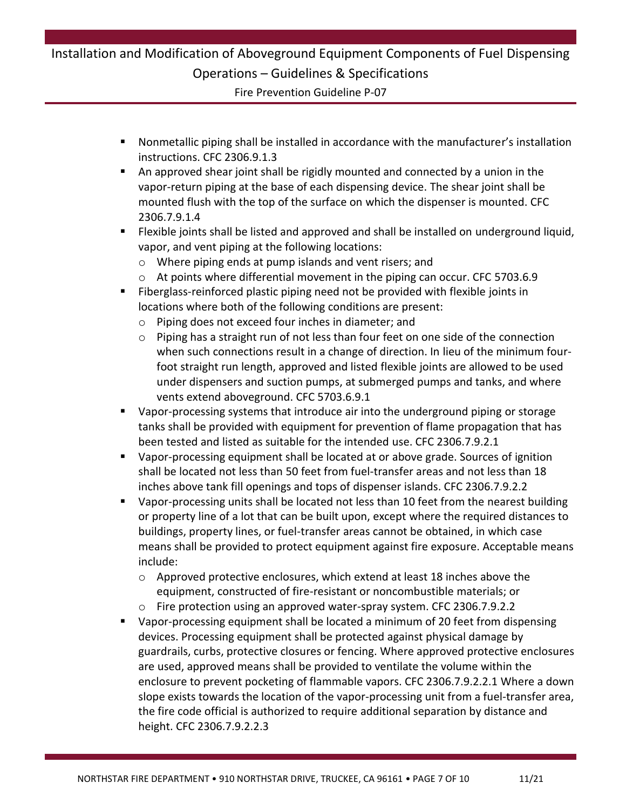Fire Prevention Guideline P-07

- Nonmetallic piping shall be installed in accordance with the manufacturer's installation instructions. CFC 2306.9.1.3
- An approved shear joint shall be rigidly mounted and connected by a union in the vapor-return piping at the base of each dispensing device. The shear joint shall be mounted flush with the top of the surface on which the dispenser is mounted. CFC 2306.7.9.1.4
- Flexible joints shall be listed and approved and shall be installed on underground liquid, vapor, and vent piping at the following locations:
	- o Where piping ends at pump islands and vent risers; and
	- $\circ$  At points where differential movement in the piping can occur. CFC 5703.6.9
- Fiberglass-reinforced plastic piping need not be provided with flexible joints in locations where both of the following conditions are present:
	- o Piping does not exceed four inches in diameter; and
	- o Piping has a straight run of not less than four feet on one side of the connection when such connections result in a change of direction. In lieu of the minimum fourfoot straight run length, approved and listed flexible joints are allowed to be used under dispensers and suction pumps, at submerged pumps and tanks, and where vents extend aboveground. CFC 5703.6.9.1
- Vapor-processing systems that introduce air into the underground piping or storage tanks shall be provided with equipment for prevention of flame propagation that has been tested and listed as suitable for the intended use. CFC 2306.7.9.2.1
- Vapor-processing equipment shall be located at or above grade. Sources of ignition shall be located not less than 50 feet from fuel-transfer areas and not less than 18 inches above tank fill openings and tops of dispenser islands. CFC 2306.7.9.2.2
- Vapor-processing units shall be located not less than 10 feet from the nearest building or property line of a lot that can be built upon, except where the required distances to buildings, property lines, or fuel-transfer areas cannot be obtained, in which case means shall be provided to protect equipment against fire exposure. Acceptable means include:
	- $\circ$  Approved protective enclosures, which extend at least 18 inches above the equipment, constructed of fire-resistant or noncombustible materials; or
	- o Fire protection using an approved water-spray system. CFC 2306.7.9.2.2
- Vapor-processing equipment shall be located a minimum of 20 feet from dispensing devices. Processing equipment shall be protected against physical damage by guardrails, curbs, protective closures or fencing. Where approved protective enclosures are used, approved means shall be provided to ventilate the volume within the enclosure to prevent pocketing of flammable vapors. CFC 2306.7.9.2.2.1 Where a down slope exists towards the location of the vapor-processing unit from a fuel-transfer area, the fire code official is authorized to require additional separation by distance and height. CFC 2306.7.9.2.2.3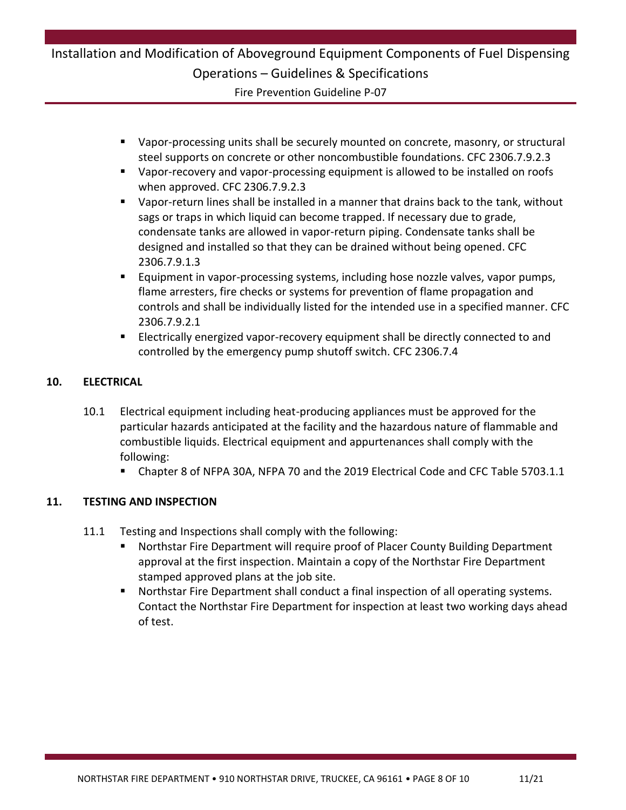### Installation and Modification of Aboveground Equipment Components of Fuel Dispensing Operations – Guidelines & Specifications Fire Prevention Guideline P-07

- Vapor-processing units shall be securely mounted on concrete, masonry, or structural steel supports on concrete or other noncombustible foundations. CFC 2306.7.9.2.3
- Vapor-recovery and vapor-processing equipment is allowed to be installed on roofs when approved. CFC 2306.7.9.2.3
- Vapor-return lines shall be installed in a manner that drains back to the tank, without sags or traps in which liquid can become trapped. If necessary due to grade, condensate tanks are allowed in vapor-return piping. Condensate tanks shall be designed and installed so that they can be drained without being opened. CFC 2306.7.9.1.3
- Equipment in vapor-processing systems, including hose nozzle valves, vapor pumps, flame arresters, fire checks or systems for prevention of flame propagation and controls and shall be individually listed for the intended use in a specified manner. CFC 2306.7.9.2.1
- Electrically energized vapor-recovery equipment shall be directly connected to and controlled by the emergency pump shutoff switch. CFC 2306.7.4

#### **10. ELECTRICAL**

- 10.1 Electrical equipment including heat-producing appliances must be approved for the particular hazards anticipated at the facility and the hazardous nature of flammable and combustible liquids. Electrical equipment and appurtenances shall comply with the following:
	- Chapter 8 of NFPA 30A, NFPA 70 and the 2019 Electrical Code and CFC Table 5703.1.1

#### **11. TESTING AND INSPECTION**

- 11.1 Testing and Inspections shall comply with the following:
	- Northstar Fire Department will require proof of Placer County Building Department approval at the first inspection. Maintain a copy of the Northstar Fire Department stamped approved plans at the job site.
	- Northstar Fire Department shall conduct a final inspection of all operating systems. Contact the Northstar Fire Department for inspection at least two working days ahead of test.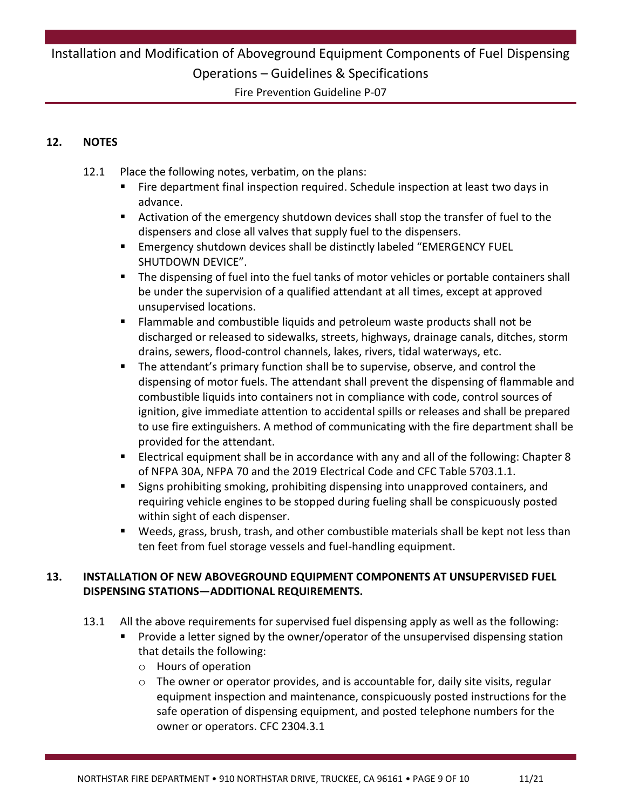Fire Prevention Guideline P-07

#### **12. NOTES**

- 12.1 Place the following notes, verbatim, on the plans:
	- Fire department final inspection required. Schedule inspection at least two days in advance.
	- Activation of the emergency shutdown devices shall stop the transfer of fuel to the dispensers and close all valves that supply fuel to the dispensers.
	- Emergency shutdown devices shall be distinctly labeled "EMERGENCY FUEL SHUTDOWN DEVICE".
	- The dispensing of fuel into the fuel tanks of motor vehicles or portable containers shall be under the supervision of a qualified attendant at all times, except at approved unsupervised locations.
	- Flammable and combustible liquids and petroleum waste products shall not be discharged or released to sidewalks, streets, highways, drainage canals, ditches, storm drains, sewers, flood-control channels, lakes, rivers, tidal waterways, etc.
	- The attendant's primary function shall be to supervise, observe, and control the dispensing of motor fuels. The attendant shall prevent the dispensing of flammable and combustible liquids into containers not in compliance with code, control sources of ignition, give immediate attention to accidental spills or releases and shall be prepared to use fire extinguishers. A method of communicating with the fire department shall be provided for the attendant.
	- Electrical equipment shall be in accordance with any and all of the following: Chapter 8 of NFPA 30A, NFPA 70 and the 2019 Electrical Code and CFC Table 5703.1.1.
	- Signs prohibiting smoking, prohibiting dispensing into unapproved containers, and requiring vehicle engines to be stopped during fueling shall be conspicuously posted within sight of each dispenser.
	- Weeds, grass, brush, trash, and other combustible materials shall be kept not less than ten feet from fuel storage vessels and fuel-handling equipment.

#### **13. INSTALLATION OF NEW ABOVEGROUND EQUIPMENT COMPONENTS AT UNSUPERVISED FUEL DISPENSING STATIONS—ADDITIONAL REQUIREMENTS.**

- 13.1 All the above requirements for supervised fuel dispensing apply as well as the following:
	- Provide a letter signed by the owner/operator of the unsupervised dispensing station that details the following:
		- o Hours of operation
		- $\circ$  The owner or operator provides, and is accountable for, daily site visits, regular equipment inspection and maintenance, conspicuously posted instructions for the safe operation of dispensing equipment, and posted telephone numbers for the owner or operators. CFC 2304.3.1